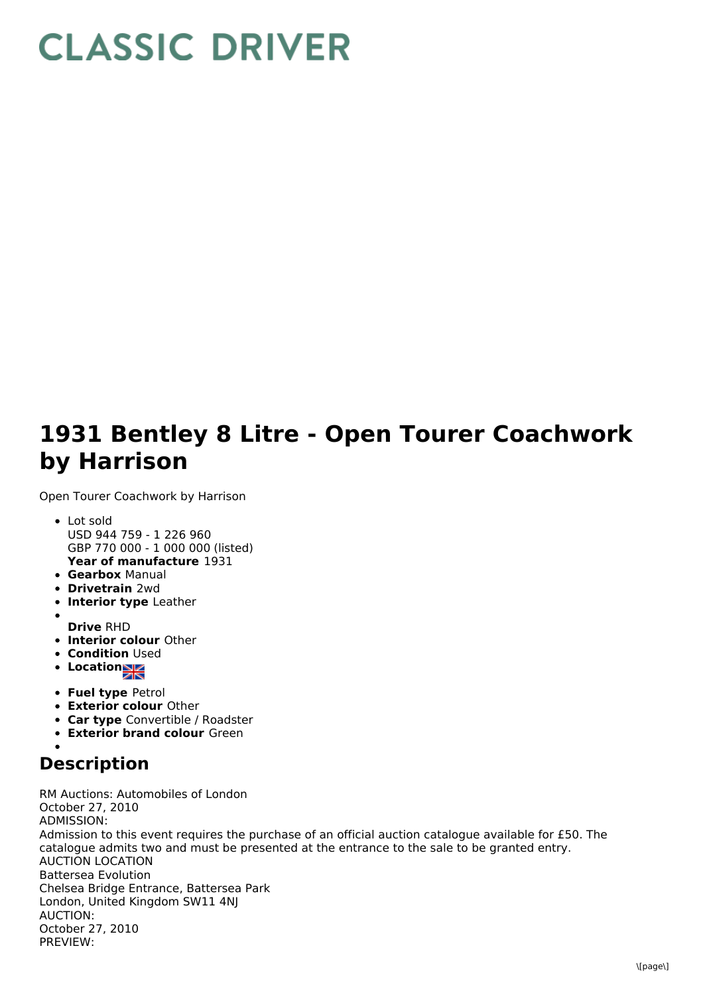## **CLASSIC DRIVER**

## **1931 Bentley 8 Litre - Open Tourer Coachwork by Harrison**

Open Tourer Coachwork by Harrison

- **Year of manufacture** 1931 Lot sold USD 944 759 - 1 226 960 GBP 770 000 - 1 000 000 (listed)
- **Gearbox** Manual
- **Drivetrain** 2wd
- **Interior type** Leather
- **Drive** RHD
- **Interior colour** Other
- **Condition Used**
- **Locations**
- **Fuel type** Petrol
- **Exterior colour** Other
- **Car type** Convertible / Roadster
- **Exterior brand colour** Green

## **Description**

RM Auctions: Automobiles of London October 27, 2010 ADMISSION: Admission to this event requires the purchase of an official auction catalogue available for £50. The catalogue admits two and must be presented at the entrance to the sale to be granted entry. AUCTION LOCATION Battersea Evolution Chelsea Bridge Entrance, Battersea Park London, United Kingdom SW11 4NJ AUCTION: October 27, 2010 PREVIEW: